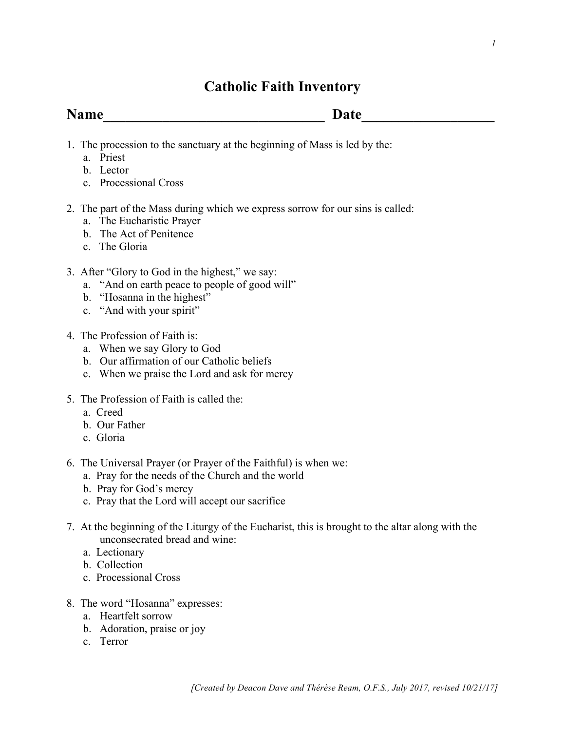# **Catholic Faith Inventory**

**Name\_\_\_\_\_\_\_\_\_\_\_\_\_\_\_\_\_\_\_\_\_\_\_\_\_\_\_\_\_\_ Date\_\_\_\_\_\_\_\_\_\_\_\_\_\_\_\_\_\_**

- 1. The procession to the sanctuary at the beginning of Mass is led by the:
	- a. Priest
	- b. Lector
	- c. Processional Cross
- 2. The part of the Mass during which we express sorrow for our sins is called:
	- a. The Eucharistic Prayer
	- b. The Act of Penitence
	- c. The Gloria
- 3. After "Glory to God in the highest," we say:
	- a. "And on earth peace to people of good will"
	- b. "Hosanna in the highest"
	- c. "And with your spirit"
- 4. The Profession of Faith is:
	- a. When we say Glory to God
	- b. Our affirmation of our Catholic beliefs
	- c. When we praise the Lord and ask for mercy
- 5. The Profession of Faith is called the:
	- a. Creed
	- b. Our Father
	- c. Gloria
- 6. The Universal Prayer (or Prayer of the Faithful) is when we:
	- a. Pray for the needs of the Church and the world
	- b. Pray for God's mercy
	- c. Pray that the Lord will accept our sacrifice
- 7. At the beginning of the Liturgy of the Eucharist, this is brought to the altar along with the unconsecrated bread and wine:
	- a. Lectionary
	- b. Collection
	- c. Processional Cross
- 8. The word "Hosanna" expresses:
	- a. Heartfelt sorrow
	- b. Adoration, praise or joy
	- c. Terror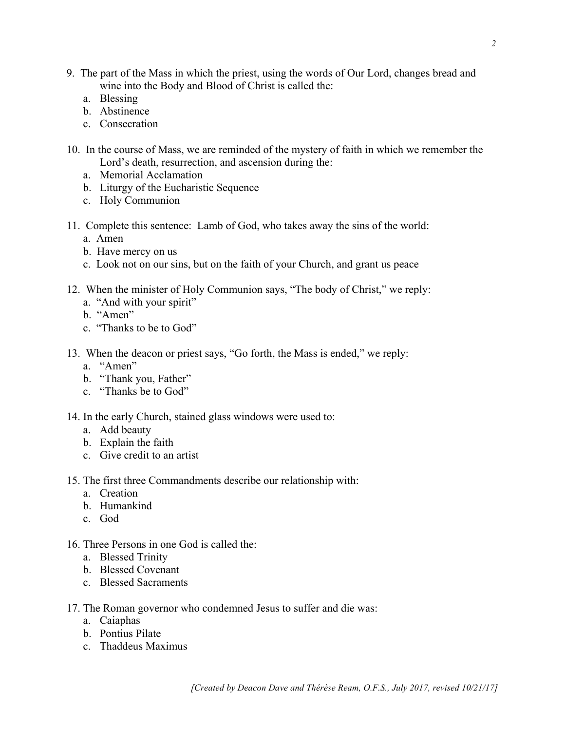*[Created by Deacon Dave and Thérèse Ream, O.F.S., July 2017, revised 10/21/17]*

- 9. The part of the Mass in which the priest, using the words of Our Lord, changes bread and wine into the Body and Blood of Christ is called the:
	- a. Blessing
	- b. Abstinence
	- c. Consecration
- 10. In the course of Mass, we are reminded of the mystery of faith in which we remember the Lord's death, resurrection, and ascension during the:
	- a. Memorial Acclamation
	- b. Liturgy of the Eucharistic Sequence
	- c. Holy Communion
- 11. Complete this sentence: Lamb of God, who takes away the sins of the world: a. Amen
	- b. Have mercy on us
	- c. Look not on our sins, but on the faith of your Church, and grant us peace
- 12. When the minister of Holy Communion says, "The body of Christ," we reply:
	- a. "And with your spirit"
	- b. "Amen"
	- c. "Thanks to be to God"
- 13. When the deacon or priest says, "Go forth, the Mass is ended," we reply:
	- a. "Amen"
	- b. "Thank you, Father"
	- c. "Thanks be to God"
- 14. In the early Church, stained glass windows were used to:
	- a. Add beauty
	- b. Explain the faith
	- c. Give credit to an artist
- 15. The first three Commandments describe our relationship with:
	- a. Creation
	- b. Humankind
	- c. God
- 16. Three Persons in one God is called the:
	- a. Blessed Trinity
	- b. Blessed Covenant
	- c. Blessed Sacraments
- 17. The Roman governor who condemned Jesus to suffer and die was:
	- a. Caiaphas
	- b. Pontius Pilate
	- c. Thaddeus Maximus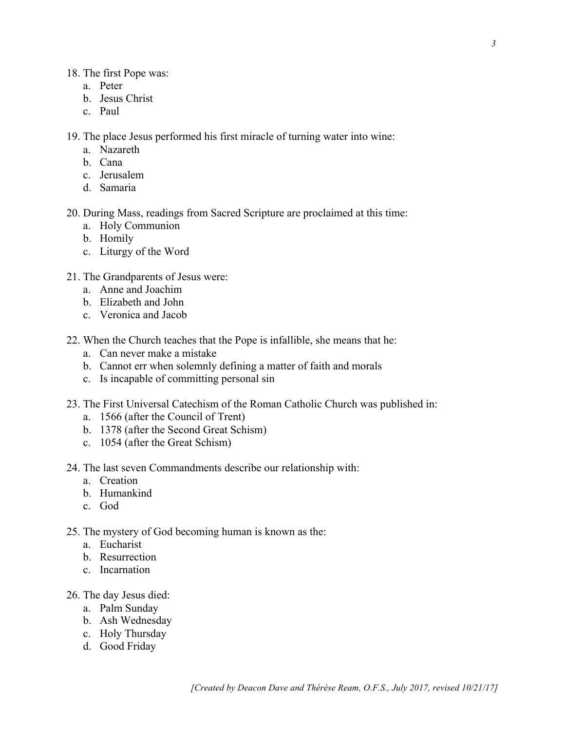#### 18. The first Pope was:

- a. Peter
- b. Jesus Christ
- c. Paul

19. The place Jesus performed his first miracle of turning water into wine:

- a. Nazareth
- b. Cana
- c. Jerusalem
- d. Samaria

20. During Mass, readings from Sacred Scripture are proclaimed at this time:

- a. Holy Communion
- b. Homily
- c. Liturgy of the Word
- 21. The Grandparents of Jesus were:
	- a. Anne and Joachim
	- b. Elizabeth and John
	- c. Veronica and Jacob
- 22. When the Church teaches that the Pope is infallible, she means that he:
	- a. Can never make a mistake
	- b. Cannot err when solemnly defining a matter of faith and morals
	- c. Is incapable of committing personal sin
- 23. The First Universal Catechism of the Roman Catholic Church was published in:
	- a. 1566 (after the Council of Trent)
	- b. 1378 (after the Second Great Schism)
	- c. 1054 (after the Great Schism)
- 24. The last seven Commandments describe our relationship with:
	- a. Creation
	- b. Humankind
	- c. God
- 25. The mystery of God becoming human is known as the:
	- a. Eucharist
	- b. Resurrection
	- c. Incarnation
- 26. The day Jesus died:
	- a. Palm Sunday
	- b. Ash Wednesday
	- c. Holy Thursday
	- d. Good Friday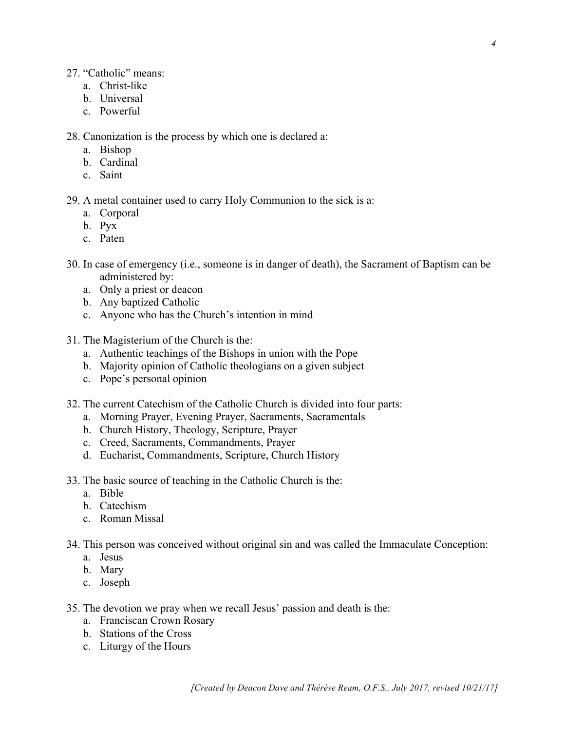# 27. "Catholic" means:

- a. Christ-like
- b. Universal
- c. Powerful

28. Canonization is the process by which one is declared a:

- a. Bishop
- b. Cardinal
- c. Saint

29. A metal container used to carry Holy Communion to the sick is a:

- a. Corporal
- b. Pyx
- c. Paten
- 30. In case of emergency (i.e., someone is in danger of death), the Sacrament of Baptism can be administered by:
	- a. Only a priest or deacon
	- b. Any baptized Catholic
	- c. Anyone who has the Church's intention in mind
- 31. The Magisterium of the Church is the:
	- a. Authentic teachings of the Bishops in union with the Pope
	- b. Majority opinion of Catholic theologians on a given subject
	- c. Pope's personal opinion
- 32. The current Catechism of the Catholic Church is divided into four parts:
	- a. Morning Prayer, Evening Prayer, Sacraments, Sacramentals
	- b. Church History, Theology, Scripture, Prayer
	- c. Creed, Sacraments, Commandments, Prayer
	- d. Eucharist, Commandments, Scripture, Church History
- 33. The basic source of teaching in the Catholic Church is the:
	- a. Bible
	- b. Catechism
	- c. Roman Missal
- 34. This person was conceived without original sin and was called the Immaculate Conception:
	- a. Jesus
	- b. Mary
	- c. Joseph
- 35. The devotion we pray when we recall Jesus' passion and death is the:
	- a. Franciscan Crown Rosary
	- b. Stations of the Cross
	- c. Liturgy of the Hours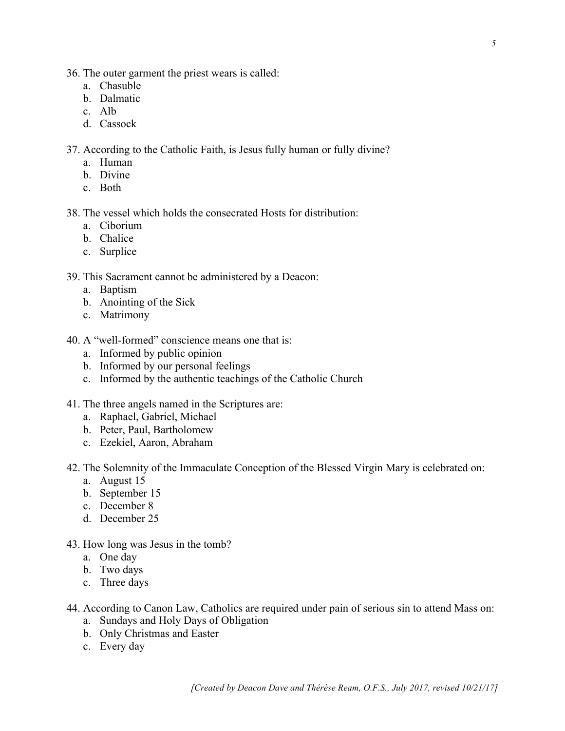- 36. The outer garment the priest wears is called:
	- a. Chasuble
	- b. Dalmatic
	- c. Alb
	- d. Cassock
- 37. According to the Catholic Faith, is Jesus fully human or fully divine?
	- a. Human
	- b. Divine
	- c. Both

## 38. The vessel which holds the consecrated Hosts for distribution:

- a. Ciborium
- b. Chalice
- c. Surplice

## 39. This Sacrament cannot be administered by a Deacon:

- a. Baptism
- b. Anointing of the Sick
- c. Matrimony
- 40. A "well-formed" conscience means one that is:
	- a. Informed by public opinion
	- b. Informed by our personal feelings
	- c. Informed by the authentic teachings of the Catholic Church
- 41. The three angels named in the Scriptures are:
	- a. Raphael, Gabriel, Michael
	- b. Peter, Paul, Bartholomew
	- c. Ezekiel, Aaron, Abraham

### 42. The Solemnity of the Immaculate Conception of the Blessed Virgin Mary is celebrated on:

- a. August 15
- b. September 15
- c. December 8
- d. December 25
- 43. How long was Jesus in the tomb?
	- a. One day
	- b. Two days
	- c. Three days
- 44. According to Canon Law, Catholics are required under pain of serious sin to attend Mass on:
	- a. Sundays and Holy Days of Obligation
	- b. Only Christmas and Easter
	- c. Every day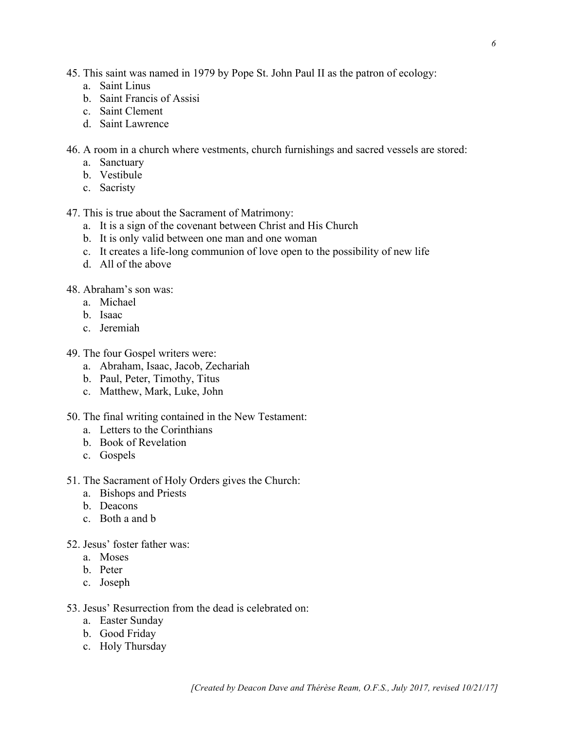45. This saint was named in 1979 by Pope St. John Paul II as the patron of ecology:

- a. Saint Linus
- b. Saint Francis of Assisi
- c. Saint Clement
- d. Saint Lawrence
- 46. A room in a church where vestments, church furnishings and sacred vessels are stored:
	- a. Sanctuary
	- b. Vestibule
	- c. Sacristy
- 47. This is true about the Sacrament of Matrimony:
	- a. It is a sign of the covenant between Christ and His Church
	- b. It is only valid between one man and one woman
	- c. It creates a life-long communion of love open to the possibility of new life
	- d. All of the above
- 48. Abraham's son was:
	- a. Michael
	- b. Isaac
	- c. Jeremiah
- 49. The four Gospel writers were:
	- a. Abraham, Isaac, Jacob, Zechariah
	- b. Paul, Peter, Timothy, Titus
	- c. Matthew, Mark, Luke, John
- 50. The final writing contained in the New Testament:
	- a. Letters to the Corinthians
	- b. Book of Revelation
	- c. Gospels
- 51. The Sacrament of Holy Orders gives the Church:
	- a. Bishops and Priests
	- b. Deacons
	- c. Both a and b
- 52. Jesus' foster father was:
	- a. Moses
	- b. Peter
	- c. Joseph
- 53. Jesus' Resurrection from the dead is celebrated on:
	- a. Easter Sunday
	- b. Good Friday
	- c. Holy Thursday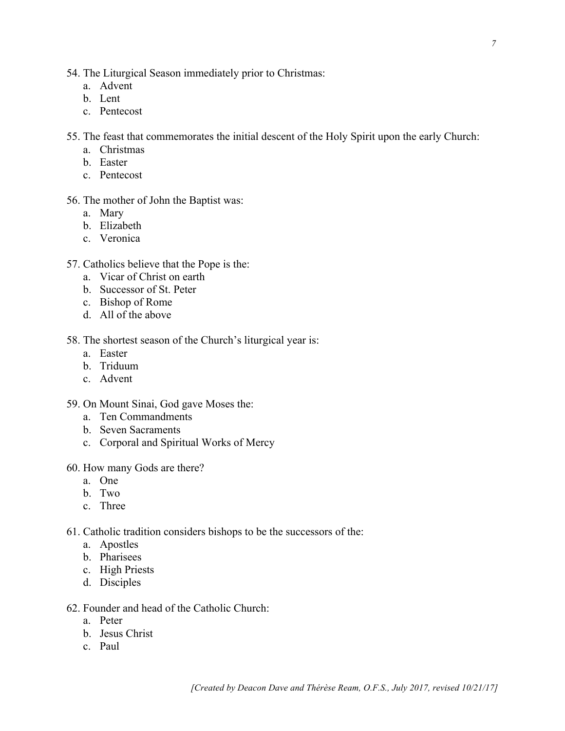- 54. The Liturgical Season immediately prior to Christmas:
	- a. Advent
	- b. Lent
	- c. Pentecost

55. The feast that commemorates the initial descent of the Holy Spirit upon the early Church:

- a. Christmas
- b. Easter
- c. Pentecost

#### 56. The mother of John the Baptist was:

- a. Mary
- b. Elizabeth
- c. Veronica
- 57. Catholics believe that the Pope is the:
	- a. Vicar of Christ on earth
	- b. Successor of St. Peter
	- c. Bishop of Rome
	- d. All of the above

## 58. The shortest season of the Church's liturgical year is:

- a. Easter
- b. Triduum
- c. Advent
- 59. On Mount Sinai, God gave Moses the:
	- a. Ten Commandments
	- b. Seven Sacraments
	- c. Corporal and Spiritual Works of Mercy
- 60. How many Gods are there?
	- a. One
	- b. Two
	- c. Three
- 61. Catholic tradition considers bishops to be the successors of the:
	- a. Apostles
	- b. Pharisees
	- c. High Priests
	- d. Disciples

## 62. Founder and head of the Catholic Church:

- a. Peter
- b. Jesus Christ
- c. Paul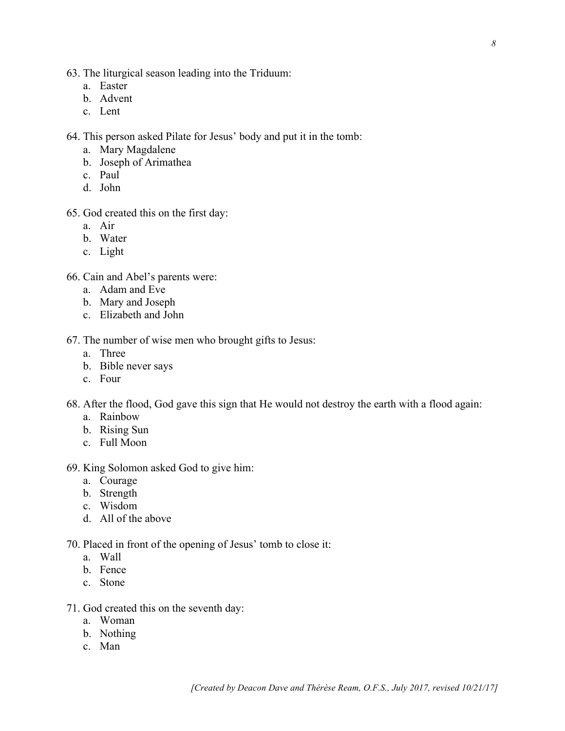- 63. The liturgical season leading into the Triduum:
	- a. Easter
	- b. Advent
	- c. Lent

64. This person asked Pilate for Jesus' body and put it in the tomb:

- a. Mary Magdalene
- b. Joseph of Arimathea
- c. Paul
- d. John
- 65. God created this on the first day:
	- a. Air
	- b. Water
	- c. Light

66. Cain and Abel's parents were:

- a. Adam and Eve
- b. Mary and Joseph
- c. Elizabeth and John

67. The number of wise men who brought gifts to Jesus:

- a. Three
- b. Bible never says
- c. Four

68. After the flood, God gave this sign that He would not destroy the earth with a flood again:

- a. Rainbow
- b. Rising Sun
- c. Full Moon
- 69. King Solomon asked God to give him:
	- a. Courage
	- b. Strength
	- c. Wisdom
	- d. All of the above

70. Placed in front of the opening of Jesus' tomb to close it:

- a. Wall
- b. Fence
- c. Stone
- 71. God created this on the seventh day:
	- a. Woman
	- b. Nothing
	- c. Man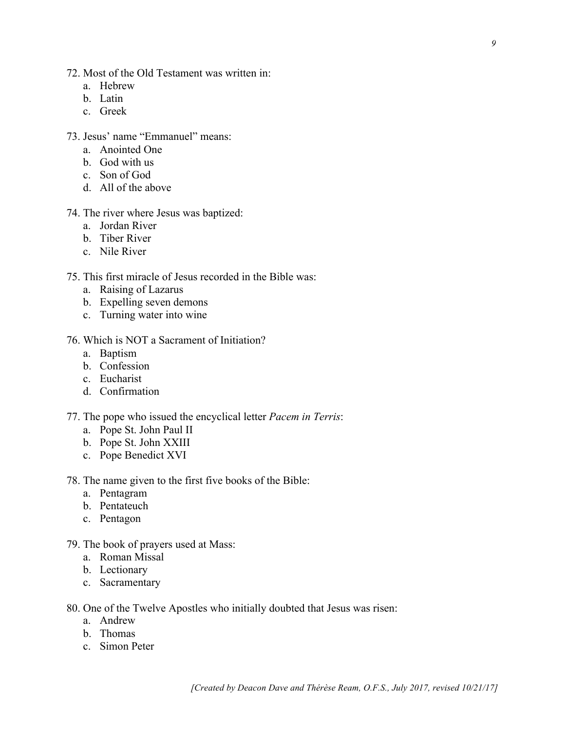- a. Hebrew
- b. Latin
- c. Greek
- 73. Jesus' name "Emmanuel" means:
	- a. Anointed One
	- b. God with us
	- c. Son of God
	- d. All of the above
- 74. The river where Jesus was baptized:
	- a. Jordan River
	- b. Tiber River
	- c. Nile River
- 75. This first miracle of Jesus recorded in the Bible was:
	- a. Raising of Lazarus
	- b. Expelling seven demons
	- c. Turning water into wine
- 76. Which is NOT a Sacrament of Initiation?
	- a. Baptism
	- b. Confession
	- c. Eucharist
	- d. Confirmation
- 77. The pope who issued the encyclical letter *Pacem in Terris*:
	- a. Pope St. John Paul II
	- b. Pope St. John XXIII
	- c. Pope Benedict XVI
- 78. The name given to the first five books of the Bible:
	- a. Pentagram
	- b. Pentateuch
	- c. Pentagon
- 79. The book of prayers used at Mass:
	- a. Roman Missal
	- b. Lectionary
	- c. Sacramentary

80. One of the Twelve Apostles who initially doubted that Jesus was risen:

- a. Andrew
- b. Thomas
- c. Simon Peter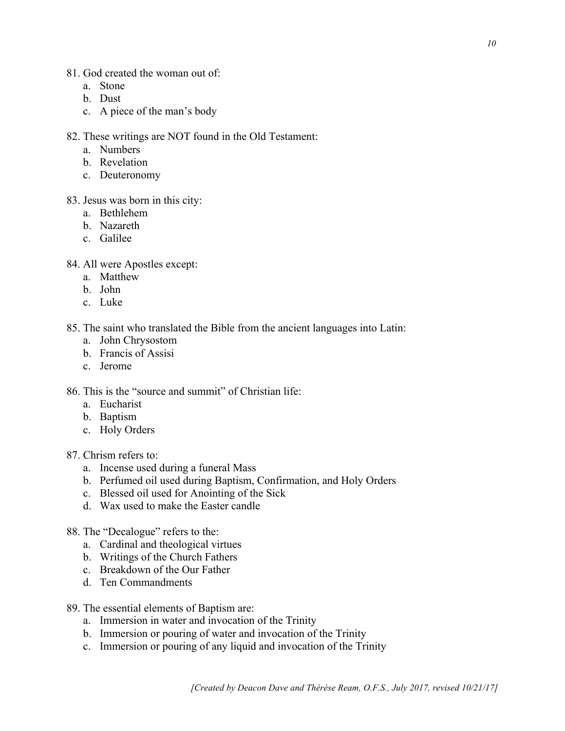- 81. God created the woman out of:
	- a. Stone
	- b. Dust
	- c. A piece of the man's body
- 82. These writings are NOT found in the Old Testament:
	- a. Numbers
	- b. Revelation
	- c. Deuteronomy
- 83. Jesus was born in this city:
	- a. Bethlehem
	- b. Nazareth
	- c. Galilee
- 84. All were Apostles except:
	- a. Matthew
	- b. John
	- c. Luke

85. The saint who translated the Bible from the ancient languages into Latin:

- a. John Chrysostom
- b. Francis of Assisi
- c. Jerome

86. This is the "source and summit" of Christian life:

- a. Eucharist
- b. Baptism
- c. Holy Orders
- 87. Chrism refers to:
	- a. Incense used during a funeral Mass
	- b. Perfumed oil used during Baptism, Confirmation, and Holy Orders
	- c. Blessed oil used for Anointing of the Sick
	- d. Wax used to make the Easter candle
- 88. The "Decalogue" refers to the:
	- a. Cardinal and theological virtues
	- b. Writings of the Church Fathers
	- c. Breakdown of the Our Father
	- d. Ten Commandments
- 89. The essential elements of Baptism are:
	- a. Immersion in water and invocation of the Trinity
	- b. Immersion or pouring of water and invocation of the Trinity
	- c. Immersion or pouring of any liquid and invocation of the Trinity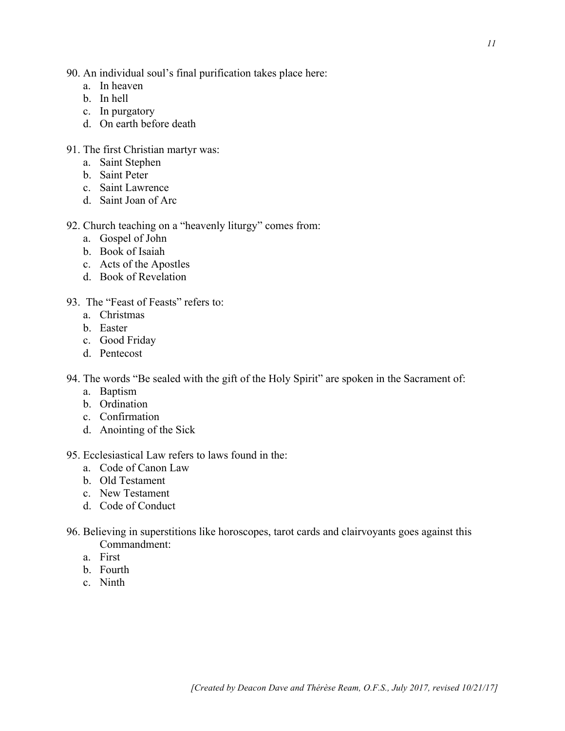- 90. An individual soul's final purification takes place here:
	- a. In heaven
	- b. In hell
	- c. In purgatory
	- d. On earth before death
- 91. The first Christian martyr was:
	- a. Saint Stephen
	- b. Saint Peter
	- c. Saint Lawrence
	- d. Saint Joan of Arc
- 92. Church teaching on a "heavenly liturgy" comes from:
	- a. Gospel of John
	- b. Book of Isaiah
	- c. Acts of the Apostles
	- d. Book of Revelation
- 93. The "Feast of Feasts" refers to:
	- a. Christmas
	- b. Easter
	- c. Good Friday
	- d. Pentecost
- 94. The words "Be sealed with the gift of the Holy Spirit" are spoken in the Sacrament of:
	- a. Baptism
	- b. Ordination
	- c. Confirmation
	- d. Anointing of the Sick
- 95. Ecclesiastical Law refers to laws found in the:
	- a. Code of Canon Law
	- b. Old Testament
	- c. New Testament
	- d. Code of Conduct
- 96. Believing in superstitions like horoscopes, tarot cards and clairvoyants goes against this Commandment:
	- a. First
	- b. Fourth
	- c. Ninth